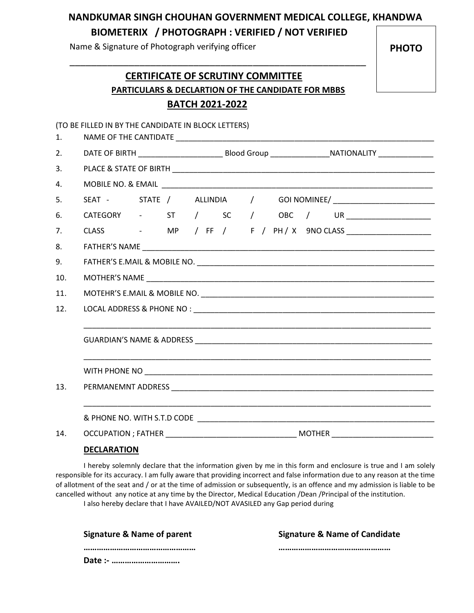## NANDKUMAR SINGH CHOUHAN GOVERNMENT MEDICAL COLLEGE, KHANDWA BIOMETERIX / PHOTOGRAPH : VERIFIED / NOT VERIFIED

Name & Signature of Photograph verifying officer

PHOTO

# CERTIFICATE OF SCRUTINY COMMITTEE PARTICULARS & DECLARTION OF THE CANDIDATE FOR MBBS BATCH 2021-2022

\_\_\_\_\_\_\_\_\_\_\_\_\_\_\_\_\_\_\_\_\_\_\_\_\_\_\_\_\_\_\_\_\_\_\_\_\_\_\_\_\_\_\_\_\_\_\_\_\_\_\_\_\_\_\_

|     | (TO BE FILLED IN BY THE CANDIDATE IN BLOCK LETTERS) |  |  |  |  |  |  |  |  |                                                 |
|-----|-----------------------------------------------------|--|--|--|--|--|--|--|--|-------------------------------------------------|
| 1.  |                                                     |  |  |  |  |  |  |  |  |                                                 |
| 2.  |                                                     |  |  |  |  |  |  |  |  |                                                 |
| 3.  |                                                     |  |  |  |  |  |  |  |  |                                                 |
| 4.  |                                                     |  |  |  |  |  |  |  |  |                                                 |
| 5.  |                                                     |  |  |  |  |  |  |  |  |                                                 |
| 6.  |                                                     |  |  |  |  |  |  |  |  | CATEGORY - ST / SC / OBC / UR _________________ |
| 7.  |                                                     |  |  |  |  |  |  |  |  |                                                 |
| 8.  |                                                     |  |  |  |  |  |  |  |  |                                                 |
| 9.  |                                                     |  |  |  |  |  |  |  |  |                                                 |
| 10. |                                                     |  |  |  |  |  |  |  |  |                                                 |
| 11. |                                                     |  |  |  |  |  |  |  |  |                                                 |
| 12. |                                                     |  |  |  |  |  |  |  |  |                                                 |
|     |                                                     |  |  |  |  |  |  |  |  |                                                 |
|     |                                                     |  |  |  |  |  |  |  |  |                                                 |
|     |                                                     |  |  |  |  |  |  |  |  |                                                 |
|     |                                                     |  |  |  |  |  |  |  |  |                                                 |
| 13. |                                                     |  |  |  |  |  |  |  |  |                                                 |
|     |                                                     |  |  |  |  |  |  |  |  |                                                 |
|     |                                                     |  |  |  |  |  |  |  |  |                                                 |
| 14. |                                                     |  |  |  |  |  |  |  |  |                                                 |
|     |                                                     |  |  |  |  |  |  |  |  |                                                 |

#### **DECLARATION**

I hereby solemnly declare that the information given by me in this form and enclosure is true and I am solely responsible for its accuracy. I am fully aware that providing incorrect and false information due to any reason at the time of allotment of the seat and / or at the time of admission or subsequently, is an offence and my admission is liable to be cancelled without any notice at any time by the Director, Medical Education /Dean /Principal of the institution.

I also hereby declare that I have AVAILED/NOT AVASILED any Gap period during

| <b>Signature &amp; Name of parent</b> | <b>Signature &amp; Name of Candidate</b> |
|---------------------------------------|------------------------------------------|
|                                       |                                          |
| Date :-                               |                                          |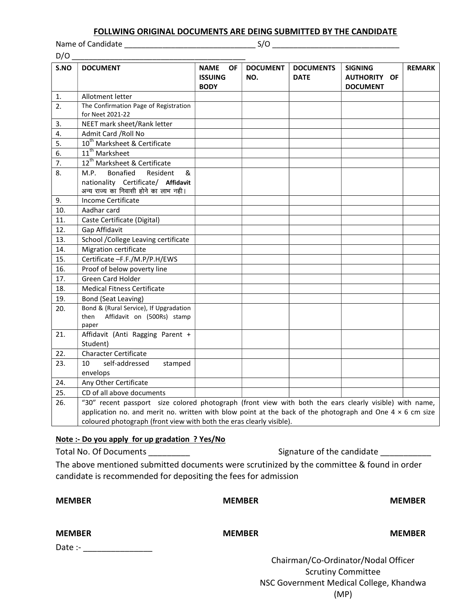#### FOLLWING ORIGINAL DOCUMENTS ARE DEING SUBMITTED BY THE CANDIDATE

Name of Candidate \_\_\_\_\_\_\_\_\_\_\_\_\_\_\_\_\_\_\_\_\_\_\_\_\_\_\_\_\_\_\_ S/O \_\_\_\_\_\_\_\_\_\_\_\_\_\_\_\_\_\_\_\_\_\_\_\_\_\_\_\_\_\_

| D/O  |                                                                                                                                                                                                                             |                                                           |                        |                                 |                                                          |               |  |
|------|-----------------------------------------------------------------------------------------------------------------------------------------------------------------------------------------------------------------------------|-----------------------------------------------------------|------------------------|---------------------------------|----------------------------------------------------------|---------------|--|
| S.NO | <b>DOCUMENT</b>                                                                                                                                                                                                             | <b>NAME</b><br><b>OF</b><br><b>ISSUING</b><br><b>BODY</b> | <b>DOCUMENT</b><br>NO. | <b>DOCUMENTS</b><br><b>DATE</b> | <b>SIGNING</b><br><b>AUTHORITY OF</b><br><b>DOCUMENT</b> | <b>REMARK</b> |  |
| 1.   | Allotment letter                                                                                                                                                                                                            |                                                           |                        |                                 |                                                          |               |  |
| 2.   | The Confirmation Page of Registration                                                                                                                                                                                       |                                                           |                        |                                 |                                                          |               |  |
|      | for Neet 2021-22                                                                                                                                                                                                            |                                                           |                        |                                 |                                                          |               |  |
| 3.   | NEET mark sheet/Rank letter                                                                                                                                                                                                 |                                                           |                        |                                 |                                                          |               |  |
| 4.   | Admit Card / Roll No                                                                                                                                                                                                        |                                                           |                        |                                 |                                                          |               |  |
| 5.   | 10 <sup>th</sup> Marksheet & Certificate                                                                                                                                                                                    |                                                           |                        |                                 |                                                          |               |  |
| 6.   | 11 <sup>th</sup> Marksheet                                                                                                                                                                                                  |                                                           |                        |                                 |                                                          |               |  |
| 7.   | 12 <sup>th</sup> Marksheet & Certificate                                                                                                                                                                                    |                                                           |                        |                                 |                                                          |               |  |
| 8.   | <b>Bonafied</b><br>Resident<br>&<br>M.P.                                                                                                                                                                                    |                                                           |                        |                                 |                                                          |               |  |
|      | nationality Certificate/ Affidavit<br>अन्य राज्य का निवासी होने का लाभ नही।                                                                                                                                                 |                                                           |                        |                                 |                                                          |               |  |
| 9.   | Income Certificate                                                                                                                                                                                                          |                                                           |                        |                                 |                                                          |               |  |
| 10.  | Aadhar card                                                                                                                                                                                                                 |                                                           |                        |                                 |                                                          |               |  |
| 11.  | Caste Certificate (Digital)                                                                                                                                                                                                 |                                                           |                        |                                 |                                                          |               |  |
| 12.  | Gap Affidavit                                                                                                                                                                                                               |                                                           |                        |                                 |                                                          |               |  |
| 13.  | School /College Leaving certificate                                                                                                                                                                                         |                                                           |                        |                                 |                                                          |               |  |
| 14.  | Migration certificate                                                                                                                                                                                                       |                                                           |                        |                                 |                                                          |               |  |
| 15.  | Certificate -F.F./M.P/P.H/EWS                                                                                                                                                                                               |                                                           |                        |                                 |                                                          |               |  |
| 16.  | Proof of below poverty line                                                                                                                                                                                                 |                                                           |                        |                                 |                                                          |               |  |
| 17.  | <b>Green Card Holder</b>                                                                                                                                                                                                    |                                                           |                        |                                 |                                                          |               |  |
| 18.  | <b>Medical Fitness Certificate</b>                                                                                                                                                                                          |                                                           |                        |                                 |                                                          |               |  |
| 19.  | Bond (Seat Leaving)                                                                                                                                                                                                         |                                                           |                        |                                 |                                                          |               |  |
| 20.  | Bond & (Rural Service), If Upgradation                                                                                                                                                                                      |                                                           |                        |                                 |                                                          |               |  |
|      | Affidavit on (500Rs) stamp<br>then                                                                                                                                                                                          |                                                           |                        |                                 |                                                          |               |  |
|      | paper                                                                                                                                                                                                                       |                                                           |                        |                                 |                                                          |               |  |
| 21.  | Affidavit (Anti Ragging Parent +                                                                                                                                                                                            |                                                           |                        |                                 |                                                          |               |  |
| 22.  | Student)<br><b>Character Certificate</b>                                                                                                                                                                                    |                                                           |                        |                                 |                                                          |               |  |
| 23.  | self-addressed<br>10                                                                                                                                                                                                        |                                                           |                        |                                 |                                                          |               |  |
|      | stamped<br>envelops                                                                                                                                                                                                         |                                                           |                        |                                 |                                                          |               |  |
| 24.  |                                                                                                                                                                                                                             |                                                           |                        |                                 |                                                          |               |  |
| 25.  | Any Other Certificate<br>CD of all above documents                                                                                                                                                                          |                                                           |                        |                                 |                                                          |               |  |
|      |                                                                                                                                                                                                                             |                                                           |                        |                                 |                                                          |               |  |
| 26.  | "30" recent passport size colored photograph (front view with both the ears clearly visible) with name,<br>application no. and merit no. written with blow point at the back of the photograph and One $4 \times 6$ cm size |                                                           |                        |                                 |                                                          |               |  |
|      | coloured photograph (front view with both the eras clearly visible).                                                                                                                                                        |                                                           |                        |                                 |                                                          |               |  |
|      |                                                                                                                                                                                                                             |                                                           |                        |                                 |                                                          |               |  |

#### Note :- Do you apply for up gradation ? Yes/No

Total No. Of Documents \_\_\_\_\_\_\_\_\_ Signature of the candidate \_\_\_\_\_\_\_\_\_\_\_

NSC Government Medical College, Khandwa (MP)

The above mentioned submitted documents were scrutinized by the committee & found in order candidate is recommended for depositing the fees for admission

| <b>MEMBER</b>            | <b>MEMBER</b> | <b>MEMBER</b>                                                    |
|--------------------------|---------------|------------------------------------------------------------------|
| <b>MEMBER</b><br>Date :- | <b>MEMBER</b> | <b>MEMBER</b>                                                    |
|                          |               | Chairman/Co-Ordinator/Nodal Officer<br><b>Scrutiny Committee</b> |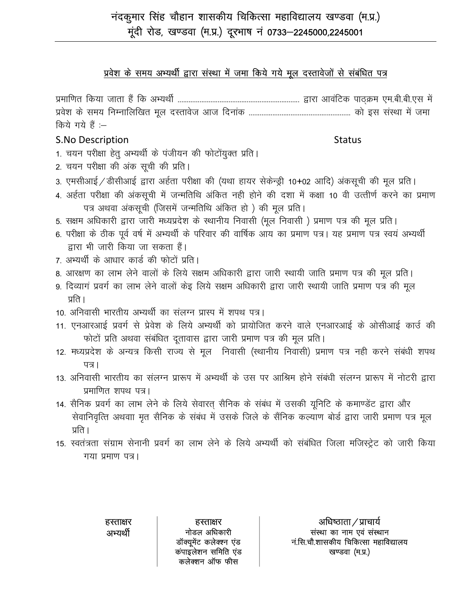### प्रवेश के समय अभ्यर्थी द्वारा संस्था में जमा किये गये मूल दस्तावेजों से संबंधित पत्र

प्रमाणित किया जाता हैं कि अभ्यर्थी ………………………………………………………… द्वारा आवंटिक पाठक्रम एम.बी.बी.एस में किये गये हैं :--

### **S.No Description**

**Status** 

- 1. चयन परीक्षा हेतू अभ्यर्थी के पंजीयन की फोटोंयुक्त प्रति।
- 2. चयन परीक्षा की अंक सूची की प्रति।
- 3. एमसीआई / डीसीआई द्वारा अर्हता परीक्षा की (यथा हायर सेकेन्ड्री 10+02 आदि) अंकसूची की मूल प्रति।
- 4. अर्हता परीक्षा की अंकसूची में जन्मतिथि अंकित नही होने की दशा में कक्षा 10 वी उत्तीर्ण करने का प्रमाण पत्र अथवा अंकसूची (जिसमें जन्मतिथि अंकित हो) की मूल प्रति।
- 5. सक्षम अधिकारी द्वारा जारी मध्यप्रदेश के स्थानीय निवासी (मूल निवासी ) प्रमाण पत्र की मूल प्रति।
- 6. परीक्षा के ठीक पूर्व वर्ष में अभ्यर्थी के परिवार की वार्षिक आय का प्रमाण पत्र। यह प्रमाण पत्र स्वयं अभ्यर्थी द्वारा भी जारी किया जा सकता हैं।
- 7. अभ्यर्थी के आधार कार्ड की फोटों प्रति।
- 8. आरक्षण का लाभ लेने वालों के लिये सक्षम अधिकारी द्वारा जारी स्थायी जाति प्रमाण पत्र की मूल प्रति।
- 9. दिव्यागं प्रवर्ग का लाभ लेने वालों केइ लिये सक्षम अधिकारी द्वारा जारी स्थायी जाति प्रमाण पत्र की मूल प्रति ।
- 10. अनिवासी भारतीय अभ्यर्थी का संलग्न प्रास्प में शपथ पत्र।
- 11. एनआरआई प्रवर्ग से प्रेवेश के लिये अभ्यर्थी को प्रायोजित करने वाले एनआरआई के ओसीआई कार्उ की फोटों प्रति अथवा संबंधित दूतावास द्वारा जारी प्रमाण पत्र की मूल प्रति।
- 12. मध्यप्रदेश के अन्यत्र किसी राज्य से मूल) निवासी (स्थानीय निवासी) प्रमाण पत्र नही करने संबंधी शपथ पत्र।
- 13. अनिवासी भारतीय का संलग्न प्रारूप में अभ्यर्थी के उस पर आश्रिम होने संबंधी संलग्न प्रारूप में नोटरी द्वारा प्रमाणित शपथ पत्र।
- 14. सैनिक प्रवर्ग का लाभ लेने के लिये सेवारत् सैनिक के संबंध में उसकी यूनिटि के कमाण्डेंट द्वारा और सेवानिवृत्ति अथवाा मृत सैनिक के संबंध में उसके जिले के सैंनिक कल्याण बोर्ड द्वारा जारी प्रमाण पत्र मूल प्रति ।
- 15. स्वतंत्रता संग्राम सेनानी प्रवर्ग का लाभ लेने के लिये अभ्यर्थी को संबंधित जिला मजिस्ट्रेट को जारी किया गया प्रमाण पत्र।

हस्ताक्षर अभ्यर्थी

हस्ताक्षर नोडल अधिकारी डॉक्यूमेंट कलेक्श्न एंड कपाइलेशन समिति एंड कलेक्शन ऑफ फीस

अधिष्ठाता / प्राचार्य संस्था का नाम एवं संस्थान नं.सि.चौ.शासकीय चिकित्सा महाविद्यालय खण्डवा (म.प्र.)